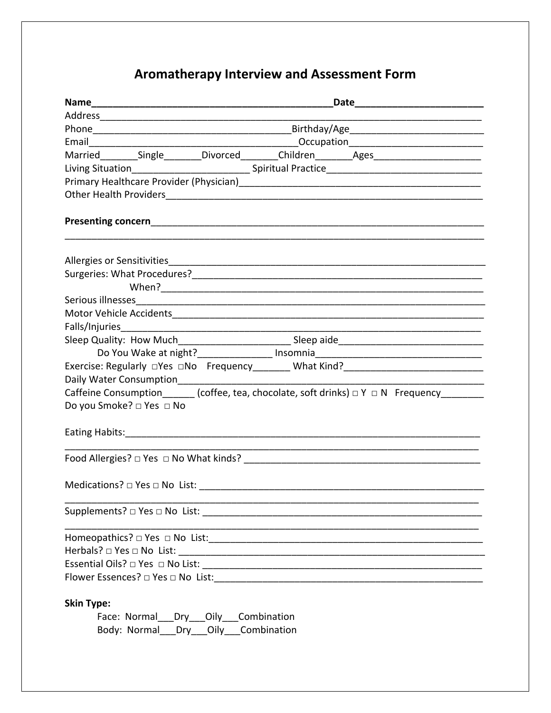## Aromatherapy Interview and Assessment Form

|                                                | Married_________Single_________Divorced________Children________Ages_____________________             |
|------------------------------------------------|------------------------------------------------------------------------------------------------------|
|                                                |                                                                                                      |
|                                                |                                                                                                      |
|                                                |                                                                                                      |
|                                                |                                                                                                      |
|                                                |                                                                                                      |
|                                                |                                                                                                      |
|                                                |                                                                                                      |
|                                                |                                                                                                      |
|                                                |                                                                                                      |
|                                                |                                                                                                      |
|                                                |                                                                                                      |
|                                                | Do You Wake at night?_________________ Insomnia_________________________________                     |
|                                                | Exercise: Regularly □Yes □No Frequency________ What Kind?_______________________                     |
| Daily Water Consumption_______________________ | Caffeine Consumption $\qquad \qquad$ (coffee, tea, chocolate, soft drinks) $\Box Y \Box N$ Frequency |
| Do you Smoke? □ Yes □ No                       |                                                                                                      |
|                                                |                                                                                                      |
|                                                |                                                                                                      |
|                                                |                                                                                                      |
|                                                |                                                                                                      |
|                                                |                                                                                                      |
|                                                |                                                                                                      |
|                                                |                                                                                                      |
|                                                |                                                                                                      |
|                                                |                                                                                                      |
| <b>Skin Type:</b>                              |                                                                                                      |
| Face: Normal Dry Oily Combination              |                                                                                                      |
| Body: Normal Dry Oily Combination              |                                                                                                      |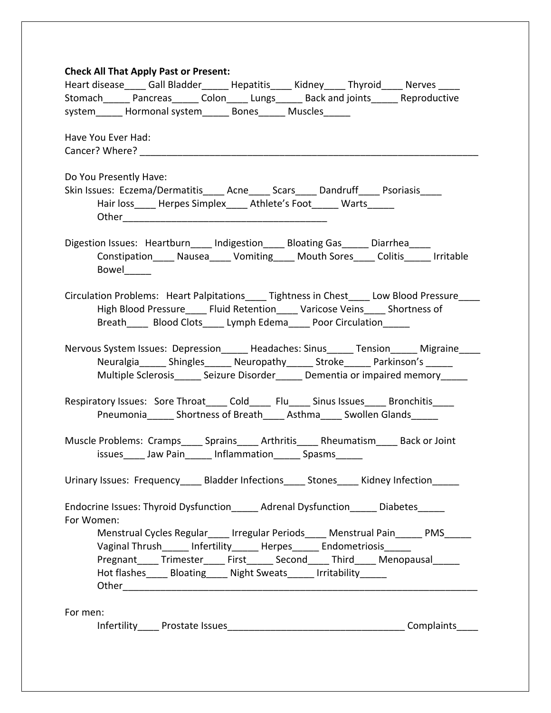| <b>Check All That Apply Past or Present:</b><br>Heart disease Gall Bladder Hepatitis Kidney Thyroid Nerves                                                                                                                                   |
|----------------------------------------------------------------------------------------------------------------------------------------------------------------------------------------------------------------------------------------------|
| Stomach_______ Pancreas_______ Colon_____ Lungs_______ Back and joints_______ Reproductive                                                                                                                                                   |
| system______ Hormonal system______ Bones______ Muscles______                                                                                                                                                                                 |
|                                                                                                                                                                                                                                              |
| Have You Ever Had:                                                                                                                                                                                                                           |
|                                                                                                                                                                                                                                              |
| Do You Presently Have:<br>Skin Issues: Eczema/Dermatitis Acne Scars Dandruff Psoriasis                                                                                                                                                       |
| Hair loss __ Herpes Simplex ___ Athlete's Foot _____ Warts _____                                                                                                                                                                             |
| Digestion Issues: Heartburn ____ Indigestion _____ Bloating Gas _____ Diarrhea<br>Constipation_____ Nausea_____ Vomiting_____ Mouth Sores_____ Colitis______ Irritable<br>Bowel______                                                        |
| Circulation Problems: Heart Palpitations Tightness in Chest Low Blood Pressure<br>High Blood Pressure ______ Fluid Retention ______ Varicose Veins _____ Shortness of<br>Breath Blood Clots Lymph Edema Poor Circulation                     |
| Nervous System Issues: Depression ______ Headaches: Sinus ______ Tension ______ Migraine _____<br>Neuralgia Shingles Neuropathy Stroke Parkinson's<br>Multiple Sclerosis _______ Seizure Disorder _______ Dementia or impaired memory ______ |
| Respiratory Issues: Sore Throat____ Cold____ Flu____ Sinus Issues____ Bronchitis____<br>Pneumonia ______ Shortness of Breath _____ Asthma ______ Swollen Glands ______                                                                       |
| Muscle Problems: Cramps_____ Sprains_____ Arthritis_____ Rheumatism Back or Joint<br>issues ______ Jaw Pain_______ Inflammation _______ Spasms_______                                                                                        |
| Urinary Issues: Frequency _____ Bladder Infections _____ Stones _____ Kidney Infection _____                                                                                                                                                 |
| Endocrine Issues: Thyroid Dysfunction_______ Adrenal Dysfunction_______ Diabetes______<br>For Women:                                                                                                                                         |
| Menstrual Cycles Regular _____ Irregular Periods _____ Menstrual Pain ______ PMS                                                                                                                                                             |
| Vaginal Thrush_____ Infertility_____ Herpes_____ Endometriosis____                                                                                                                                                                           |
| Pregnant_____ Trimester_____ First______ Second_____ Third_____ Menopausal<br>Hot flashes_____ Bloating_____ Night Sweats______ Irritability______                                                                                           |
|                                                                                                                                                                                                                                              |
| For men:                                                                                                                                                                                                                                     |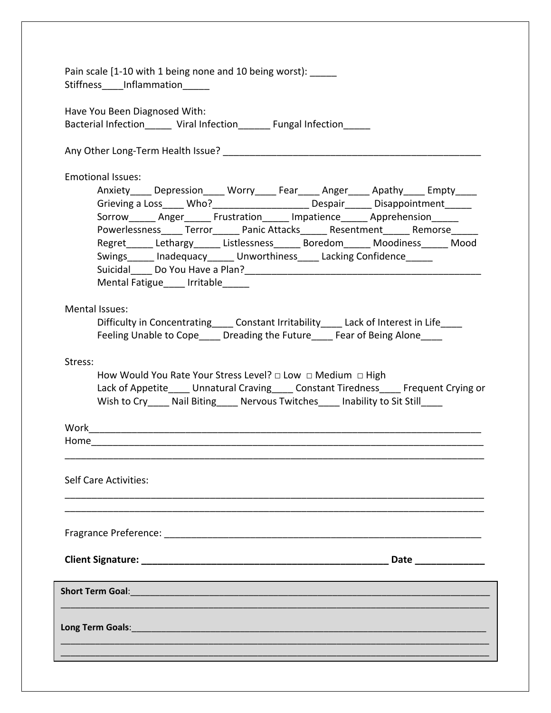| Pain scale [1-10 with 1 being none and 10 being worst): _____<br>Stiffness_____Inflammation______                                                                                                                                                                                                                                                                                                                                                                                                                                                                                                                                                                                               |
|-------------------------------------------------------------------------------------------------------------------------------------------------------------------------------------------------------------------------------------------------------------------------------------------------------------------------------------------------------------------------------------------------------------------------------------------------------------------------------------------------------------------------------------------------------------------------------------------------------------------------------------------------------------------------------------------------|
| Have You Been Diagnosed With:<br>Bacterial Infection ______ Viral Infection _______ Fungal Infection _____                                                                                                                                                                                                                                                                                                                                                                                                                                                                                                                                                                                      |
|                                                                                                                                                                                                                                                                                                                                                                                                                                                                                                                                                                                                                                                                                                 |
| <b>Emotional Issues:</b><br>Anxiety_____ Depression_____ Worry_____ Fear_____ Anger_____ Apathy_____ Empty____<br>Grieving a Loss_____ Who?________________________ Despair______ Disappointment______<br>Sorrow Anger Frustration Impatience Apprehension<br>Powerlessness_____ Terror______ Panic Attacks______ Resentment______ Remorse_____<br>Regret______Lethargy______Listlessness_______Boredom______Moodiness _____Mood<br>Swings______ Inadequacy______ Unworthiness_____ Lacking Confidence______<br>Suicidal Do You Have a Plan?<br>2008.   2009   2009   2010   2021   2021   2021   2022   2022   2022   2022   2022   2022   2022   2022   2022<br>Mental Fatigue ____ Irritable |
| Mental Issues:<br>Difficulty in Concentrating ______ Constant Irritability ______ Lack of Interest in Life ______<br>Feeling Unable to Cope Dreading the Future Fear of Being Alone                                                                                                                                                                                                                                                                                                                                                                                                                                                                                                             |
| Stress:<br>How Would You Rate Your Stress Level? $\Box$ Low $\Box$ Medium $\Box$ High<br>Lack of Appetite Unnatural Craving Constant Tiredness Frequent Crying or<br>Wish to Cry _____ Nail Biting _____ Nervous Twitches _____ Inability to Sit Still _____                                                                                                                                                                                                                                                                                                                                                                                                                                    |
|                                                                                                                                                                                                                                                                                                                                                                                                                                                                                                                                                                                                                                                                                                 |
|                                                                                                                                                                                                                                                                                                                                                                                                                                                                                                                                                                                                                                                                                                 |
| <b>Self Care Activities:</b>                                                                                                                                                                                                                                                                                                                                                                                                                                                                                                                                                                                                                                                                    |
|                                                                                                                                                                                                                                                                                                                                                                                                                                                                                                                                                                                                                                                                                                 |
| Date ______________                                                                                                                                                                                                                                                                                                                                                                                                                                                                                                                                                                                                                                                                             |
|                                                                                                                                                                                                                                                                                                                                                                                                                                                                                                                                                                                                                                                                                                 |
| Long Term Goals: <u>Andrea Communications of the Contractor Contractor Contractor Contractor Contractor Contractor</u>                                                                                                                                                                                                                                                                                                                                                                                                                                                                                                                                                                          |
|                                                                                                                                                                                                                                                                                                                                                                                                                                                                                                                                                                                                                                                                                                 |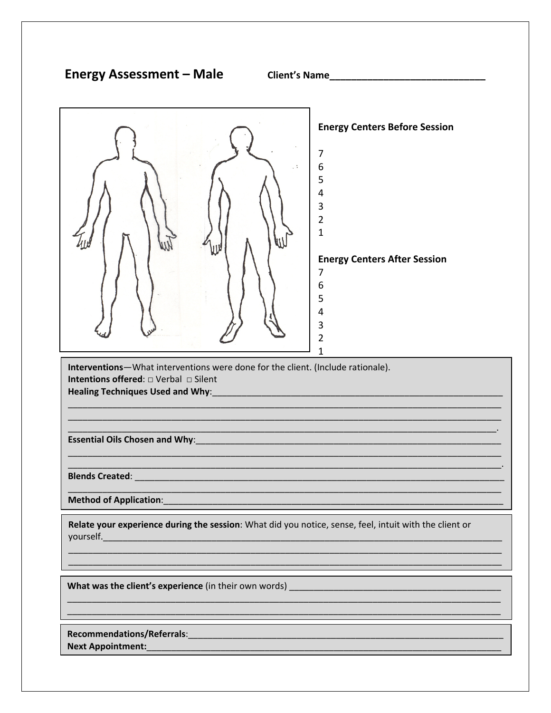